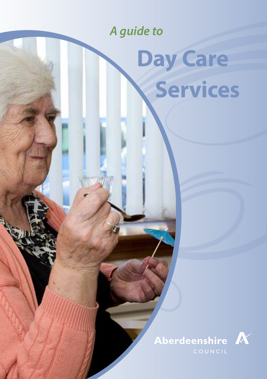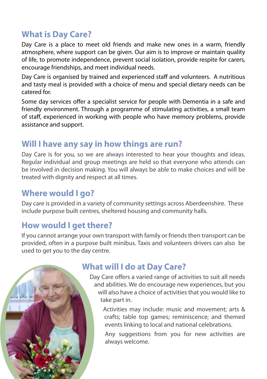### **What is Day Care?**

Day Care is a place to meet old friends and make new ones in a warm, friendly atmosphere, where support can be given. Our aim is to improve or maintain quality of life, to promote independence, prevent social isolation, provide respite for carers, encourage friendships, and meet individual needs.

Day Care is organised by trained and experienced staff and volunteers. A nutritious and tasty meal is provided with a choice of menu and special dietary needs can be catered for.

Some day services offer a specialist service for people with Dementia in a safe and friendly environment. Through a programme of stimulating activities, a small team of staff, experienced in working with people who have memory problems, provide assistance and support.

#### **Will I have any say in how things are run?**

Day Care is for you, so we are always interested to hear your thoughts and ideas. Regular individual and group meetings are held so that everyone who attends can be involved in decision making. You will always be able to make choices and will be treated with dignity and respect at all times.

#### **Where would I go?**

Day care is provided in a variety of community settings across Aberdeenshire. These include purpose built centres, sheltered housing and community halls.

## **How would I get there?**

If you cannot arrange your own transport with family or friends then transport can be provided, often in a purpose built minibus. Taxis and volunteers drivers can also be used to get you to the day centre.



#### **What will I do at Day Care?**

Day Care offers a varied range of activities to suit all needs and abilities. We do encourage new experiences, but you will also have a choice of activities that you would like to take part in.

Activities may include: music and movement; arts & crafts; table top games; reminiscence; and themed events linking to local and national celebrations.

Any suggestions from you for new activities are always welcome.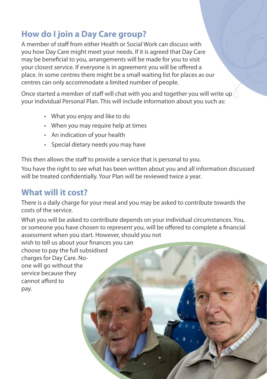# **How do I join a Day Care group?**

A member of staff from either Health or Social Work can discuss with you how Day Care might meet your needs. If it is agreed that Day Care may be beneficial to you, arrangements will be made for you to visit your closest service. If everyone is in agreement you will be offered a place. In some centres there might be a small waiting list for places as our centres can only accommodate a limited number of people.

Once started a member of staff will chat with you and together you will write up your individual Personal Plan. This will include information about you such as:

- What you enjoy and like to do
- When you may require help at times
- An indication of your health
- Special dietary needs you may have

This then allows the staff to provide a service that is personal to you.

You have the right to see what has been written about you and all information discussed will be treated confidentially. Your Plan will be reviewed twice a year.

## **What will it cost?**

There is a daily charge for your meal and you may be asked to contribute towards the costs of the service.

What you will be asked to contribute depends on your individual circumstances. You, or someone you have chosen to represent you, will be offered to complete a financial assessment when you start. However, should you not

wish to tell us about your finances you can choose to pay the full subsidised charges for Day Care. Noone will go without the service because they cannot afford to pay.